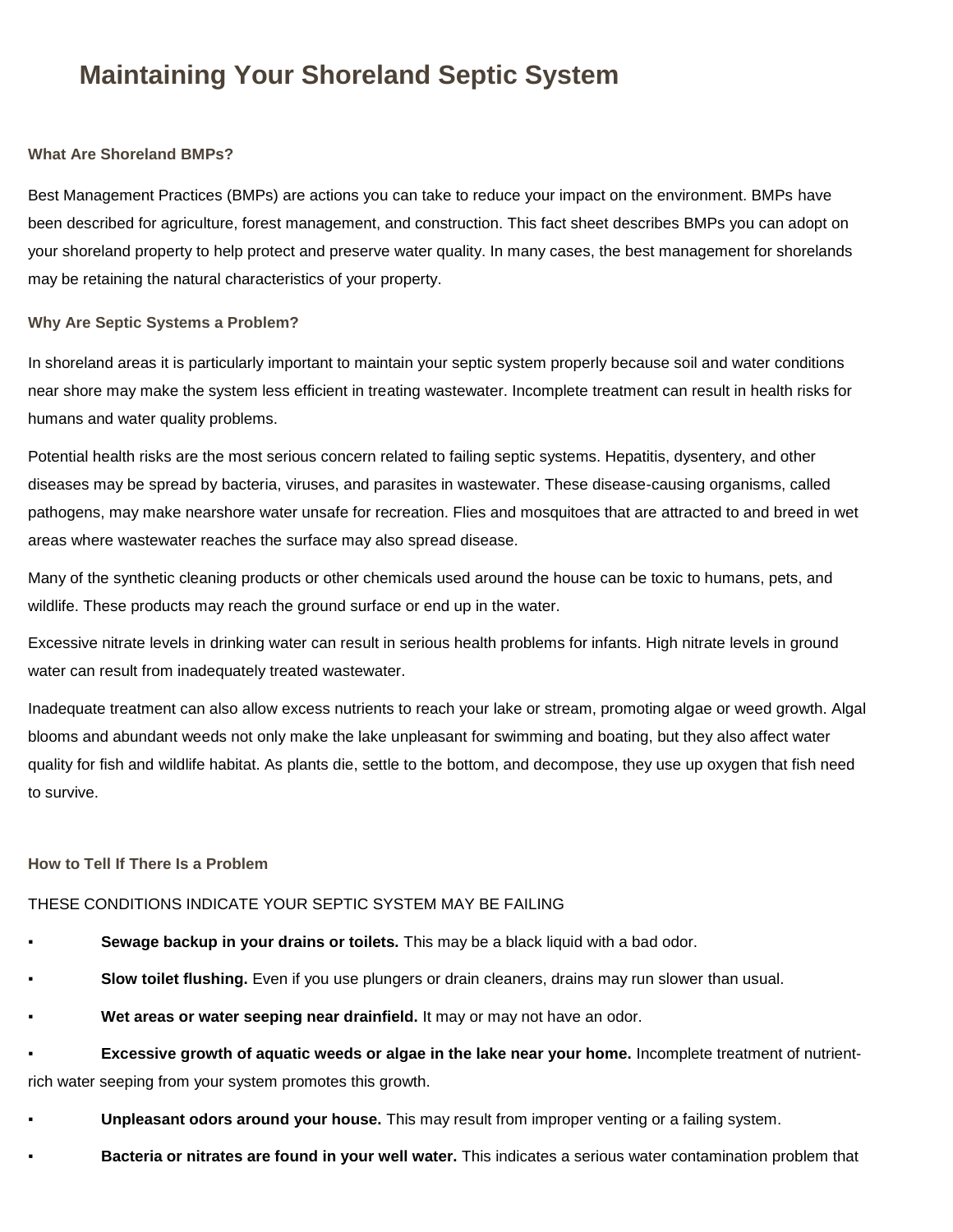# **Maintaining Your Shoreland Septic System**

# **What Are Shoreland BMPs?**

Best Management Practices (BMPs) are actions you can take to reduce your impact on the environment. BMPs have been described for agriculture, forest management, and construction. This fact sheet describes BMPs you can adopt on your shoreland property to help protect and preserve water quality. In many cases, the best management for shorelands may be retaining the natural characteristics of your property.

# **Why Are Septic Systems a Problem?**

In shoreland areas it is particularly important to maintain your septic system properly because soil and water conditions near shore may make the system less efficient in treating wastewater. Incomplete treatment can result in health risks for humans and water quality problems.

Potential health risks are the most serious concern related to failing septic systems. Hepatitis, dysentery, and other diseases may be spread by bacteria, viruses, and parasites in wastewater. These disease-causing organisms, called pathogens, may make nearshore water unsafe for recreation. Flies and mosquitoes that are attracted to and breed in wet areas where wastewater reaches the surface may also spread disease.

Many of the synthetic cleaning products or other chemicals used around the house can be toxic to humans, pets, and wildlife. These products may reach the ground surface or end up in the water.

Excessive nitrate levels in drinking water can result in serious health problems for infants. High nitrate levels in ground water can result from inadequately treated wastewater.

Inadequate treatment can also allow excess nutrients to reach your lake or stream, promoting algae or weed growth. Algal blooms and abundant weeds not only make the lake unpleasant for swimming and boating, but they also affect water quality for fish and wildlife habitat. As plants die, settle to the bottom, and decompose, they use up oxygen that fish need to survive.

# **How to Tell If There Is a Problem**

# THESE CONDITIONS INDICATE YOUR SEPTIC SYSTEM MAY BE FAILING

- Sewage backup in your drains or toilets. This may be a black liquid with a bad odor.
- **Slow toilet flushing.** Even if you use plungers or drain cleaners, drains may run slower than usual.
- Wet areas or water seeping near drainfield. It may or may not have an odor.

**Excessive growth of aquatic weeds or algae in the lake near your home.** Incomplete treatment of nutrientrich water seeping from your system promotes this growth.

- Unpleasant odors around your house. This may result from improper venting or a failing system.
- **Bacteria or nitrates are found in your well water.** This indicates a serious water contamination problem that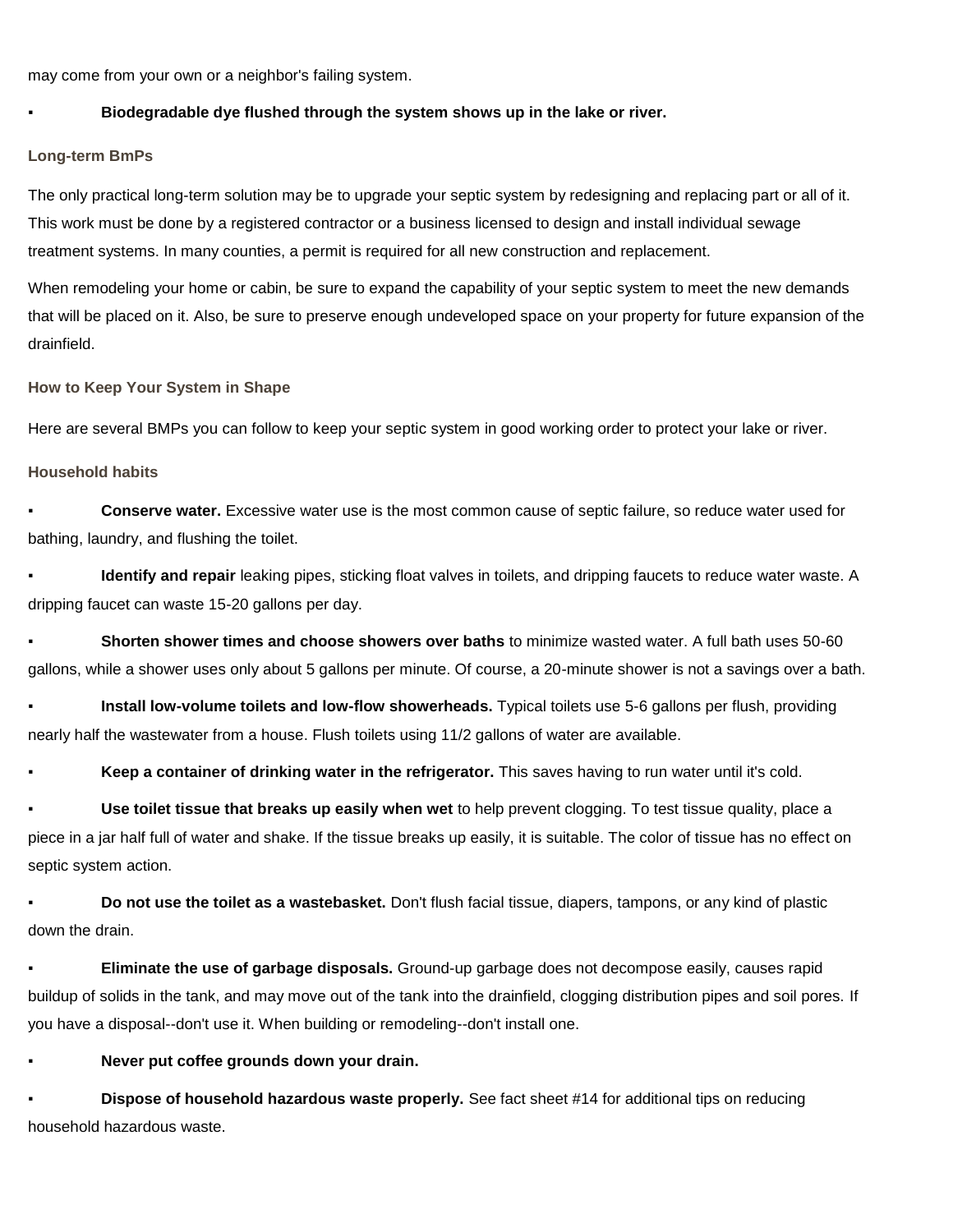may come from your own or a neighbor's failing system.

#### ▪ **Biodegradable dye flushed through the system shows up in the lake or river.**

**Long-term BmPs**

The only practical long-term solution may be to upgrade your septic system by redesigning and replacing part or all of it. This work must be done by a registered contractor or a business licensed to design and install individual sewage treatment systems. In many counties, a permit is required for all new construction and replacement.

When remodeling your home or cabin, be sure to expand the capability of your septic system to meet the new demands that will be placed on it. Also, be sure to preserve enough undeveloped space on your property for future expansion of the drainfield.

**How to Keep Your System in Shape**

Here are several BMPs you can follow to keep your septic system in good working order to protect your lake or river.

## **Household habits**

**Conserve water.** Excessive water use is the most common cause of septic failure, so reduce water used for bathing, laundry, and flushing the toilet.

**Identify and repair** leaking pipes, sticking float valves in toilets, and dripping faucets to reduce water waste. A dripping faucet can waste 15-20 gallons per day.

**Shorten shower times and choose showers over baths** to minimize wasted water. A full bath uses 50-60 gallons, while a shower uses only about 5 gallons per minute. Of course, a 20-minute shower is not a savings over a bath.

**Install low-volume toilets and low-flow showerheads.** Typical toilets use 5-6 gallons per flush, providing nearly half the wastewater from a house. Flush toilets using 11/2 gallons of water are available.

Keep a container of drinking water in the refrigerator. This saves having to run water until it's cold.

▪ **Use toilet tissue that breaks up easily when wet** to help prevent clogging. To test tissue quality, place a piece in a jar half full of water and shake. If the tissue breaks up easily, it is suitable. The color of tissue has no effect on septic system action.

**Do not use the toilet as a wastebasket.** Don't flush facial tissue, diapers, tampons, or any kind of plastic down the drain.

**Eliminate the use of garbage disposals.** Ground-up garbage does not decompose easily, causes rapid buildup of solids in the tank, and may move out of the tank into the drainfield, clogging distribution pipes and soil pores. If you have a disposal--don't use it. When building or remodeling--don't install one.

Never put coffee grounds down your drain.

**Dispose of household hazardous waste properly.** See fact sheet #14 for additional tips on reducing household hazardous waste.